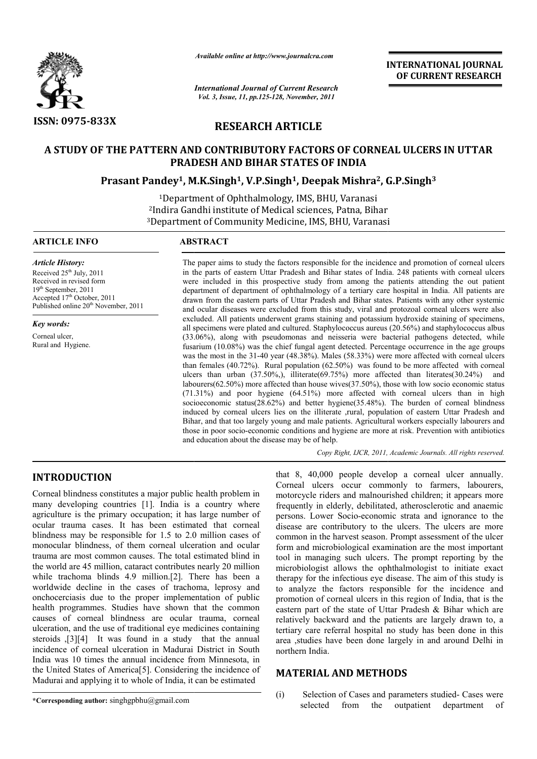

*Available online at http://www.journalcra.com*

*International Journal of Current Research Vol. 3, Issue, 11, pp.125-128, November, 2011*

**INTERNATIONAL INTERNATIONAL JOURNAL OF CURRENT RESEARCH** 

# **RESEARCH ARTICLE**

# **A STUDY OF THE PATTERN AND CONTRIBUTORY FACTORS OF CORNEAL ULCERS IN UTTAR PRADESH AND BIHAR STATES OF INDIA** OF THE PATTERN AND CONTRIBUTORY FACTORS OF CORNEAL ULCER<br>PRADESH AND BIHAR STATES OF INDIA<br>Prasant Pandey<sup>1</sup>, M.K.Singh<sup>1</sup>, V.P.Singh<sup>1</sup>, Deepak Mishra<sup>2</sup>, G.P.Singh<sup>3</sup>

1Department of Ophthalmology, IMS, BHU, Varanasi <sup>1</sup>Department of Ophthalmology, IMS, BHU, Varanasi<br><sup>2</sup>Indira Gandhi institute of Medical sciences, Patna, Bihar <sup>3</sup>Department of Community Medicine, IMS, BHU, Varanasi

### **ARTICLE INFO ABSTRACT**

*Article History:* Received  $25<sup>th</sup>$  July, 2011 Received in revised form 19th September, 2011 Accepted 17<sup>th</sup> October, 2011 Published online 20<sup>th</sup> November, 2011

*Key words:*

Corneal ulcer, Rural and Hygiene.

The paper aims to study the factors responsible for the incidence and promotion of corneal ulcers in the parts of eastern Uttar Pradesh and Bihar states of India. 248 patients with corneal ulcers were included in this prospective study from among the patients attending the out patient depart department of department of ophthalmology of a tertiary care hospital in India. All patients are drawn from the eastern parts of Uttar Pradesh and Bihar states. Patients with any other systemic and ocular diseases were excluded from this study, viral and protozoal corneal ulcers were also excluded. All patients underwent grams staining and potassium hydroxide staining of specimens, all specimens were plated and cultured. Staphylococcus aureus (20.56%) and staphylococcus albus (33.06%), along with pseudomonas and neisseria were bacterial pathogens detected, while fusarium (10.08%) was the chief fungal agent detected. Percentage occurrence in the age groups was the most in the 31-40 year (48.38%). Males (58.33%) were more affected with corneal ulcers than females  $(40.72%)$ . Rural population  $(62.50%)$  was found to be more affected with corneal ulcers than urban (37.50%,), illiterate(69.75%) more affected than literates(30.24%) and labourers(62.50%) more affected than house wives(37.50%), those with low socio economic status (71.31%) and poor hygiene (64.51%) more affected with corneal ulcers than in high socioeconomic status(28.62%) and better hygiene(35.48%). The burden of corneal blindness induced by corneal ulcers lies on the illiterate ,rural, population of eastern Uttar Pradesh and Bihar, and that too largely young and male patients. Agricultural workers especially labourers and Bihar, and that too largely young and male patients. Agricultural workers especially labourers and those in poor socio-economic conditions and hygiene are more at risk. Prevention with antibiotics and education about the disease may be of help. aper aims to study the factors responsible for the incidence and promotion of corneal ulcers parts of eastern Uttar Pradesh and Bihar states of India. 248 patients with corneal ulcers included in this prospective study fro All patients underwent grams staining and potassium hydroxide staining of specimens, eners were plated and cultured. Staphylococcus aureus (20.56%) and staphylococcus albus, along with pseudomonas and neisseria were bacte and poor hygiene  $(64.51\%)$  more affected with corneal ulcers than in high mic status( $28.62\%$ ) and better hygiene( $35.48\%$ ). The burden of corneal blindness corneal ulcers lies on the illiterate ,rural, population of e **ITERNATIONAL JOURNAL COVERAL COVERENT RESEARCH**<br> **OF CURRENT RESEARCH**<br> **OF CURRENT RESEARCH**<br> **248 patients with corneal ulcers**<br>
248 patients with comeal ulcers<br>
248 patients with and a All patients are not<br> **Patients w** 

*Copy Right, IJCR, 2011, Academic Journals Copy Right, Journals. All rights reserved.*

# **INTRODUCTION**

Corneal blindness constitutes a major public health problem in many developing countries [1]. India is a country where agriculture is the primary occupation; it has large number of ocular trauma cases. It has been estimated that corneal blindness may be responsible for 1.5 to 2.0 million cases of monocular blindness, of them corneal ulceration and ocular trauma are most common causes. The total estimated blind in the world are 45 million, cataract contributes nearly 20 million while trachoma blinds 4.9 million.[2]. There has been a worldwide decline in the cases of trachoma, leprosy and onchocerciasis due to the proper implementation of public health programmes. Studies have shown that the common causes of corneal blindness are ocular trauma, corneal ulceration, and the use of traditional eye medicines contai steroids ,[3][4] It was found in a study that the annual incidence of corneal ulceration in Madurai District in South India was 10 times the annual incidence from Minnesota, in the United States of America[5]. Considering the incidence of Madurai and applying it to whole of India, it can be estimated ases of trachoma, leprosy and<br>roper implementation of public<br>have shown that the common<br>is are ocular trauma, corneal<br>litional eye medicines containing

**UCTION**<br>
that 8, 40,000 people develop a corneal ulcer<br>
corneal uclers cocur commonly to farmers, labourers,<br>
conceal ulcers cocur commonly to farmers, labourers<br>
is the primary occupation; it has large number of<br>
requent that 8, 40,000 people develop a corneal ulcer annually.<br>Corneal ulcers occur commonly to farmers, labourers, motorcycle riders and malnourished children; it appears more frequently in elderly, debilitated, atherosclerotic and anaemic persons. Lower Socio-economic strata and ignorance to the disease are contributory to the ulcers. The ulcers are more common in the harvest season. Prompt assessment of the ulcer form and microbiological examination are the most important tool in managing such ulcers. The prompt reporting by the microbiologist allows the ophthalmologist to initiate exact microbiologist allows the ophthalmologist to initiate exact therapy for the infectious eye disease. The aim of this study is to analyze the factors responsible for the incidence and to analyze the factors responsible for the incidence and promotion of corneal ulcers in this region of India, that is the eastern part of the state of Uttar Pradesh & Bihar which are relatively backward and the patients are largely drawn to, a tertiary care referral hospital no study has been done in this area ,studies have been done largely in and around Delhi in northern India. frequently in elderly, debilitated, atherosclerotic and anaemic<br>persons. Lower Socio-economic strata and ignorance to the<br>disease are contributory to the ulcers. The ulcers are more<br>common in the harvest season. Prompt ass of state of Uttar Pradesh & Bihar which are vely backward and the patients are largely drawn to, a ry care referral hospital no study has been done in this ,studies have been done largely in and around Delhi in ern India.<br>

# **MATERIAL AND METHODS**

**\*Corresponding author:** singhgpbhu@gmail.com

(i) Selection of Cases and parameters studied-Cases were selected from the outpatient department of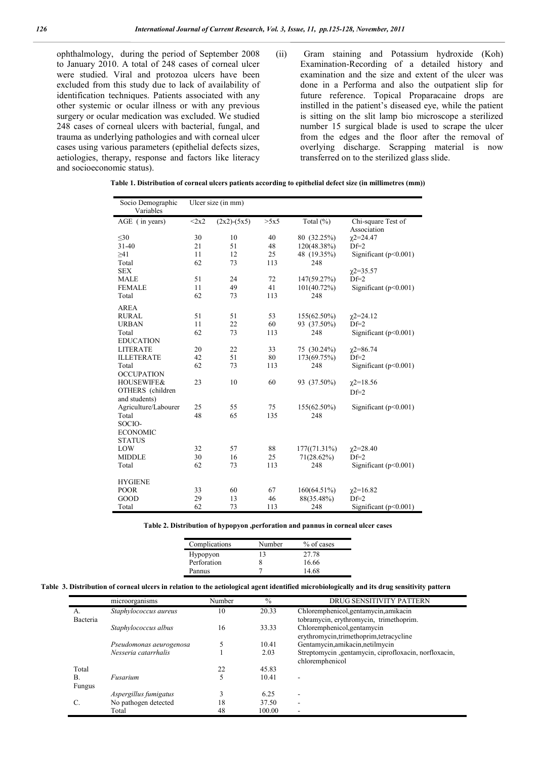ophthalmology, during the period of September 2008 to January 2010. A total of 248 cases of corneal ulcer were studied. Viral and protozoa ulcers have been excluded from this study due to lack of availability of identification techniques. Patients associated with any other systemic or ocular illness or with any previous surgery or ocular medication was excluded. We studied 248 cases of corneal ulcers with bacterial, fungal, and trauma as underlying pathologies and with corneal ulcer cases using various parameters (epithelial defects sizes, aetiologies, therapy, response and factors like literacy and socioeconomic status).

(ii) Gram staining and Potassium hydroxide (Koh) Examination-Recording of a detailed history and examination and the size and extent of the ulcer was done in a Performa and also the outpatient slip for future reference. Topical Proparacaine drops are instilled in the patient's diseased eye, while the patient is sitting on the slit lamp bio microscope a sterilized number 15 surgical blade is used to scrape the ulcer from the edges and the floor after the removal of overlying discharge. Scrapping material is now transferred on to the sterilized glass slide.

|  | (mm)) Table 1. Distribution of corneal ulcers patients according to epithelial defect size (in millimetres |  |  |  |  |  |
|--|------------------------------------------------------------------------------------------------------------|--|--|--|--|--|
|--|------------------------------------------------------------------------------------------------------------|--|--|--|--|--|

| Socio Demographic<br>Variables |          | Ulcer size (in mm) |      |                |                           |
|--------------------------------|----------|--------------------|------|----------------|---------------------------|
| AGE (in years)                 | $2x2$    | $(2x2)-(5x5)$      | >5x5 | Total (%)      | Chi-square Test of        |
|                                |          |                    |      |                | Association               |
| $<$ 30                         | 30       | 10                 | 40   | 80 (32.25%)    | $\chi$ 2=24.47            |
| $31-40$                        | 21       | 51                 | 48   | 120(48.38%)    | $Df=2$                    |
| $\geq 41$                      | 11       | 12                 | 25   | 48 (19.35%)    | Significant $(p<0.001)$   |
| Total                          | 62       | 73                 | 113  | 248            |                           |
| <b>SEX</b>                     |          |                    |      |                | $x2 = 35.57$              |
| <b>MALE</b>                    | 51       | 24                 | 72   | 147(59.27%)    | $Df=2$                    |
| <b>FEMALE</b>                  | 11       | 49                 | 41   | $101(40.72\%)$ | Significant $(p<0.001)$   |
| Total                          | 62       | 73                 | 113  | 248            |                           |
| <b>AREA</b>                    |          |                    |      |                |                           |
| <b>RURAL</b>                   | 51       | 51                 | 53   | 155(62.50%)    | $\chi$ 2=24.12            |
| <b>URBAN</b>                   | 11       | 22                 | 60   | 93 (37.50%)    | $Df=2$                    |
| Total                          | 62       | 73                 | 113  | 248            | Significant $(p<0.001)$   |
| <b>EDUCATION</b>               |          |                    |      |                |                           |
| <b>LITERATE</b>                | 20       | 22                 | 33   | 75 (30.24%)    | $\chi$ 2=86.74            |
| <b>ILLETERATE</b>              | 42       | 51                 | 80   | 173(69.75%)    | $Df=2$                    |
| Total                          | 62       | 73                 | 113  | 248            | Significant $(p<0.001)$   |
| <b>OCCUPATION</b>              |          |                    |      |                |                           |
| <b>HOUSEWIFE&amp;</b>          | 23       | 10                 | 60   | 93 (37.50%)    | $\chi$ 2=18.56            |
| OTHERS (children               |          |                    |      |                | $Df=2$                    |
| and students)                  |          |                    |      |                |                           |
| Agriculture/Labourer           | 25       | 55                 | 75   | 155(62.50%)    | Significant $(p<0.001)$   |
| Total                          | 48       | 65                 | 135  | 248            |                           |
| SOCIO-                         |          |                    |      |                |                           |
| <b>ECONOMIC</b>                |          |                    |      |                |                           |
| <b>STATUS</b>                  |          |                    |      |                |                           |
| LOW                            | 32       | 57                 | 88   | 177((71.31%)   | $\chi$ 2=28.40<br>$Df=2$  |
| <b>MIDDLE</b>                  | 30<br>62 | 16                 | 25   | $71(28.62\%)$  |                           |
| Total                          |          | 73                 | 113  | 248            | Significant $(p<0.001)$   |
| <b>HYGIENE</b>                 |          |                    |      |                |                           |
| <b>POOR</b>                    | 33       | 60                 | 67   | 160(64.51%)    | $\chi$ 2=16.82            |
| GOOD                           | 29       | 13                 | 46   | 88(35.48%)     | $Df=2$                    |
| Total                          | 62       | 73                 | 113  | 248            | Significant ( $p<0.001$ ) |

**Table 2. Distribution of hypopyon ,perforation and pannus in corneal ulcer cases**

| Complications | Number | % of cases |
|---------------|--------|------------|
| Hypopyon      |        | 27.78      |
| Perforation   |        | 16.66      |
| Pannus        |        | 14 68      |

| Table 3. Distribution of corneal ulcers in relation to the aetiological agent identified microbiologically and its drug sensitivity pattern |  |  |  |
|---------------------------------------------------------------------------------------------------------------------------------------------|--|--|--|
|---------------------------------------------------------------------------------------------------------------------------------------------|--|--|--|

|          | microorganisms          | Number | $\%$   | DRUG SENSITIVITY PATTERN                              |
|----------|-------------------------|--------|--------|-------------------------------------------------------|
| A.       | Staphylococcus aureus   | 10     | 20.33  | Chloremphenicol, gentamycin, amikacin                 |
| Bacteria |                         |        |        | tobramycin, erythromycin, trimethoprim.               |
|          | Staphylococcus albus    | 16     | 33.33  | Chloremphenicol, gentamycin                           |
|          |                         |        |        | erythromycin, trimethoprim, tetracycline              |
|          | Pseudomonas aeurogenosa | 5      | 10.41  | Gentamycin, amikacin, netilmycin                      |
|          | Nesseria catarrhalis    |        | 2.03   | Streptomycin ,gentamycin, ciprofloxacin, norfloxacin, |
|          |                         |        |        | chloremphenicol                                       |
| Total    |                         | 22     | 45.83  |                                                       |
| В.       | Fusarium                |        | 10.41  |                                                       |
| Fungus   |                         |        |        |                                                       |
|          | Aspergillus fumigatus   | 3      | 6.25   | -                                                     |
| C.       | No pathogen detected    | 18     | 37.50  | ۰                                                     |
|          | Total                   | 48     | 100.00 |                                                       |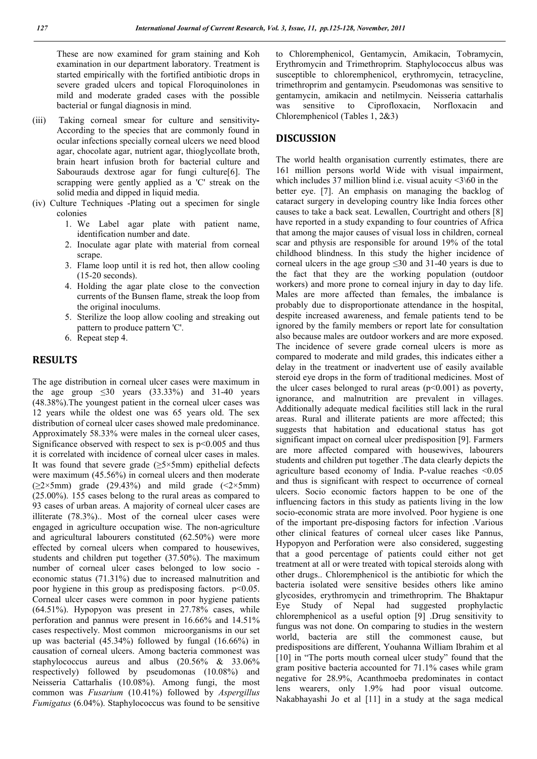These are now examined for gram staining and Koh examination in our department laboratory. Treatment is started empirically with the fortified antibiotic drops in severe graded ulcers and topical Floroquinolones in mild and moderate graded cases with the possible bacterial or fungal diagnosis in mind.

- (iii) Taking corneal smear for culture and sensitivity**-**According to the species that are commonly found in ocular infections specially corneal ulcers we need blood agar, chocolate agar, nutrient agar, thioglycollate broth, brain heart infusion broth for bacterial culture and Sabourauds dextrose agar for fungi culture[6]. The scrapping were gently applied as a 'C' streak on the solid media and dipped in liquid media.
- (iv) Culture Techniques -Plating out a specimen for single colonies
	- 1. We Label agar plate with patient name, identification number and date.
	- 2. Inoculate agar plate with material from corneal scrape
	- 3. Flame loop until it is red hot, then allow cooling (15-20 seconds).
	- 4. Holding the agar plate close to the convection currents of the Bunsen flame, streak the loop from the original inoculums.
	- 5. Sterilize the loop allow cooling and streaking out pattern to produce pattern 'C'.
	- 6. Repeat step 4.

## **RESULTS**

The age distribution in corneal ulcer cases were maximum in the age group  $\leq 30$  years  $(33.33\%)$  and  $31-40$  years (48.38%).The youngest patient in the corneal ulcer cases was 12 years while the oldest one was 65 years old. The sex distribution of corneal ulcer cases showed male predominance. Approximately 58.33% were males in the corneal ulcer cases, Significance observed with respect to sex is  $p<0.005$  and thus it is correlated with incidence of corneal ulcer cases in males. It was found that severe grade  $(\geq 5 \times 5$ mm) epithelial defects were maximum (45.56%) in corneal ulcers and then moderate  $(\geq 2 \times 5$ mm) grade (29.43%) and mild grade (<2×5mm) (25.00%). 155 cases belong to the rural areas as compared to 93 cases of urban areas. A majority of corneal ulcer cases are illiterate (78.3%).. Most of the corneal ulcer cases were engaged in agriculture occupation wise. The non-agriculture and agricultural labourers constituted (62.50%) were more effected by corneal ulcers when compared to housewives, students and children put together (37.50%). The maximum number of corneal ulcer cases belonged to low socio economic status (71.31%) due to increased malnutrition and poor hygiene in this group as predisposing factors. p<0.05. Corneal ulcer cases were common in poor hygiene patients (64.51%). Hypopyon was present in 27.78% cases, while perforation and pannus were present in 16.66% and 14.51% cases respectively. Most common microorganisms in our set up was bacterial (45.34%) followed by fungal (16.66%) in causation of corneal ulcers. Among bacteria commonest was staphylococcus aureus and albus (20.56% & 33.06% respectively) followed by pseudomonas (10.08%) and Neisseria Cattarhalis (10.08%). Among fungi, the most common was *Fusarium* (10.41%) followed by *Aspergillus Fumigatus* (6.04%). Staphylococcus was found to be sensitive

to Chloremphenicol, Gentamycin, Amikacin, Tobramycin, Erythromycin and Trimethroprim. Staphylococcus albus was susceptible to chloremphenicol, erythromycin, tetracycline, trimethroprim and gentamycin. Pseudomonas was sensitive to gentamycin, amikacin and netilmycin. Neisseria cattarhalis was sensitive to Ciprofloxacin, Norfloxacin and Chloremphenicol (Tables 1, 2&3)

# **DISCUSSION**

The world health organisation currently estimates, there are 161 million persons world Wide with visual impairment, which includes 37 million blind i.e. visual acuity  $\leq$  \60 in the better eye. [7]. An emphasis on managing the backlog of cataract surgery in developing country like India forces other causes to take a back seat. Lewallen, Courtright and others [8] have reported in a study expanding to four countries of Africa that among the major causes of visual loss in children, corneal scar and pthysis are responsible for around 19% of the total childhood blindness. In this study the higher incidence of corneal ulcers in the age group ≤30 and 31-40 years is due to the fact that they are the working population (outdoor workers) and more prone to corneal injury in day to day life. Males are more affected than females, the imbalance is probably due to disproportionate attendance in the hospital, despite increased awareness, and female patients tend to be ignored by the family members or report late for consultation also because males are outdoor workers and are more exposed. The incidence of severe grade corneal ulcers is more as compared to moderate and mild grades, this indicates either a delay in the treatment or inadvertent use of easily available steroid eye drops in the form of traditional medicines. Most of the ulcer cases belonged to rural areas  $(p<0.001)$  as poverty, ignorance, and malnutrition are prevalent in villages. Additionally adequate medical facilities still lack in the rural areas. Rural and illiterate patients are more affected; this suggests that habitation and educational status has got significant impact on corneal ulcer predisposition [9]. Farmers are more affected compared with housewives, labourers students and children put together .The data clearly depicts the agriculture based economy of India. P-value reaches <0.05 and thus is significant with respect to occurrence of corneal ulcers. Socio economic factors happen to be one of the influencing factors in this study as patients living in the low socio-economic strata are more involved. Poor hygiene is one of the important pre-disposing factors for infection .Various other clinical features of corneal ulcer cases like Pannus, Hypopyon and Perforation were also considered, suggesting that a good percentage of patients could either not get treatment at all or were treated with topical steroids along with other drugs.. Chloremphenicol is the antibiotic for which the bacteria isolated were sensitive besides others like amino glycosides, erythromycin and trimethroprim. The Bhaktapur Eye Study of Nepal had suggested prophylactic chloremphenicol as a useful option [9] .Drug sensitivity to fungus was not done. On comparing to studies in the western world, bacteria are still the commonest cause, but predispositions are different, Youhanna William Ibrahim et al [10] in "The ports mouth corneal ulcer study" found that the gram positive bacteria accounted for 71.1% cases while gram negative for 28.9%, Acanthmoeba predominates in contact lens wearers, only 1.9% had poor visual outcome. Nakabhayashi Jo et al [11] in a study at the saga medical